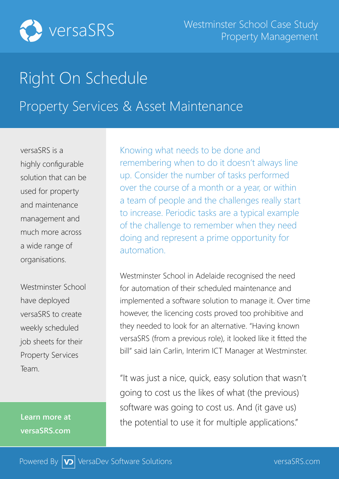

## Right On Schedule Property Services & Asset Maintenance

versaSRS is a highly configurable solution that can be used for property and maintenance management and much more across a wide range of

Westminster School have deployed versaSRS to create weekly scheduled job sheets for their Property Services Team.

organisations.

**Learn more at versaSRS.com**

Knowing what needs to be done and remembering when to do it doesn't always line up. Consider the number of tasks performed over the course of a month or a year, or within a team of people and the challenges really start to increase. Periodic tasks are a typical example of the challenge to remember when they need doing and represent a prime opportunity for automation.

Westminster School in Adelaide recognised the need for automation of their scheduled maintenance and implemented a software solution to manage it. Over time however, the licencing costs proved too prohibitive and they needed to look for an alternative. "Having known versaSRS (from a previous role), it looked like it fitted the bill" said Iain Carlin, Interim ICT Manager at Westminster.

"It was just a nice, quick, easy solution that wasn't going to cost us the likes of what (the previous) software was going to cost us. And (it gave us) the potential to use it for multiple applications."